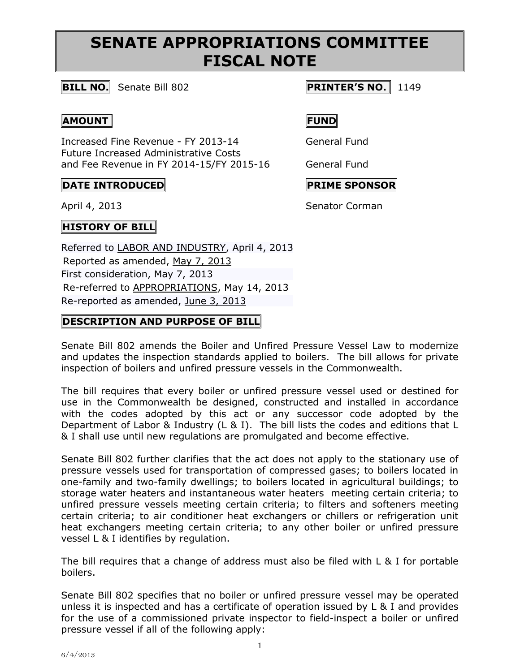# **SENATE APPROPRIATIONS COMMITTEE FISCAL NOTE**

## **BILL NO.** Senate Bill 802 **PRINTER'S NO.** 1149

### **AMOUNT FUND**

Increased Fine Revenue - FY 2013-14 General Fund Future Increased Administrative Costs and Fee Revenue in FY 2014-15/FY 2015-16 General Fund

## $\begin{bmatrix} \text{PATE} & \text{INTRODUCED} \end{bmatrix}$

April 4, 2013 Senator Corman

**HISTORY OF BILL** 

Referred to [LABOR AND INDUSTRY,](http://www.legis.state.pa.us/cfdocs/cteeInfo/Index.cfm?Code=13&CteeBody=S) April 4, 2013 Reported as amended, [May 7, 2013](http://ldpc6.legis.state.pa.us/cfdocs/legis/RCC/PUBLIC/listVotes.cfm?sYear=2013&sInd=0&chamber=S&cteeCde=13&nbr=802&bBody=S&type=B&theDate=05/07/2013) First consideration, May 7, 2013 Re-referred to [APPROPRIATIONS,](http://www.legis.state.pa.us/cfdocs/cteeInfo/Index.cfm?Code=3&CteeBody=S) May 14, 2013 Re-reported as amended, [June 3, 2013](http://ldpc6.legis.state.pa.us/cfdocs/legis/RCC/PUBLIC/listVotes.cfm?sYear=2013&sInd=0&chamber=S&cteeCde=3&nbr=802&bBody=S&type=B&theDate=06/03/2013)

## **DESCRIPTION AND PURPOSE OF BILL**

Senate Bill 802 amends the Boiler and Unfired Pressure Vessel Law to modernize and updates the inspection standards applied to boilers. The bill allows for private inspection of boilers and unfired pressure vessels in the Commonwealth.

The bill requires that every boiler or unfired pressure vessel used or destined for use in the Commonwealth be designed, constructed and installed in accordance with the codes adopted by this act or any successor code adopted by the Department of Labor & Industry (L & I). The bill lists the codes and editions that L & I shall use until new regulations are promulgated and become effective.

Senate Bill 802 further clarifies that the act does not apply to the stationary use of pressure vessels used for transportation of compressed gases; to boilers located in one-family and two-family dwellings; to boilers located in agricultural buildings; to storage water heaters and instantaneous water heaters meeting certain criteria; to unfired pressure vessels meeting certain criteria; to filters and softeners meeting certain criteria; to air conditioner heat exchangers or chillers or refrigeration unit heat exchangers meeting certain criteria; to any other boiler or unfired pressure vessel L & I identifies by regulation.

The bill requires that a change of address must also be filed with L & I for portable boilers.

Senate Bill 802 specifies that no boiler or unfired pressure vessel may be operated unless it is inspected and has a certificate of operation issued by L & I and provides for the use of a commissioned private inspector to field-inspect a boiler or unfired pressure vessel if all of the following apply: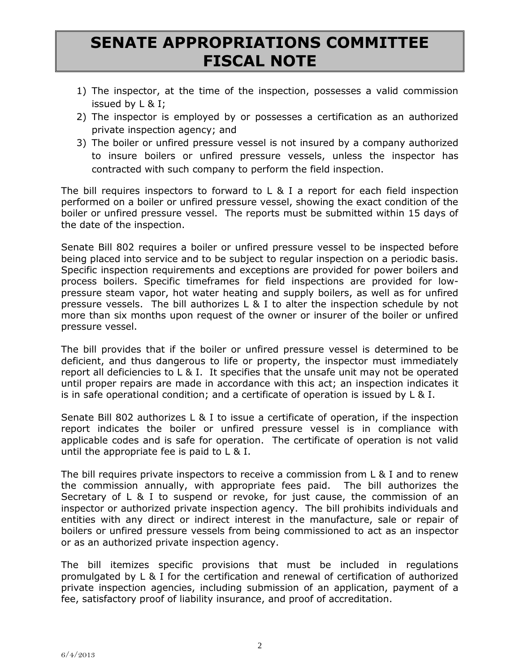# **SENATE APPROPRIATIONS COMMITTEE FISCAL NOTE**

- 1) The inspector, at the time of the inspection, possesses a valid commission issued by L & I;
- 2) The inspector is employed by or possesses a certification as an authorized private inspection agency; and
- 3) The boiler or unfired pressure vessel is not insured by a company authorized to insure boilers or unfired pressure vessels, unless the inspector has contracted with such company to perform the field inspection.

The bill requires inspectors to forward to L & I a report for each field inspection performed on a boiler or unfired pressure vessel, showing the exact condition of the boiler or unfired pressure vessel. The reports must be submitted within 15 days of the date of the inspection.

Senate Bill 802 requires a boiler or unfired pressure vessel to be inspected before being placed into service and to be subject to regular inspection on a periodic basis. Specific inspection requirements and exceptions are provided for power boilers and process boilers. Specific timeframes for field inspections are provided for lowpressure steam vapor, hot water heating and supply boilers, as well as for unfired pressure vessels. The bill authorizes L & I to alter the inspection schedule by not more than six months upon request of the owner or insurer of the boiler or unfired pressure vessel.

The bill provides that if the boiler or unfired pressure vessel is determined to be deficient, and thus dangerous to life or property, the inspector must immediately report all deficiencies to L & I. It specifies that the unsafe unit may not be operated until proper repairs are made in accordance with this act; an inspection indicates it is in safe operational condition; and a certificate of operation is issued by L & I.

Senate Bill 802 authorizes L & I to issue a certificate of operation, if the inspection report indicates the boiler or unfired pressure vessel is in compliance with applicable codes and is safe for operation. The certificate of operation is not valid until the appropriate fee is paid to L & I.

The bill requires private inspectors to receive a commission from L & I and to renew the commission annually, with appropriate fees paid. The bill authorizes the Secretary of L & I to suspend or revoke, for just cause, the commission of an inspector or authorized private inspection agency. The bill prohibits individuals and entities with any direct or indirect interest in the manufacture, sale or repair of boilers or unfired pressure vessels from being commissioned to act as an inspector or as an authorized private inspection agency.

The bill itemizes specific provisions that must be included in regulations promulgated by L & I for the certification and renewal of certification of authorized private inspection agencies, including submission of an application, payment of a fee, satisfactory proof of liability insurance, and proof of accreditation.